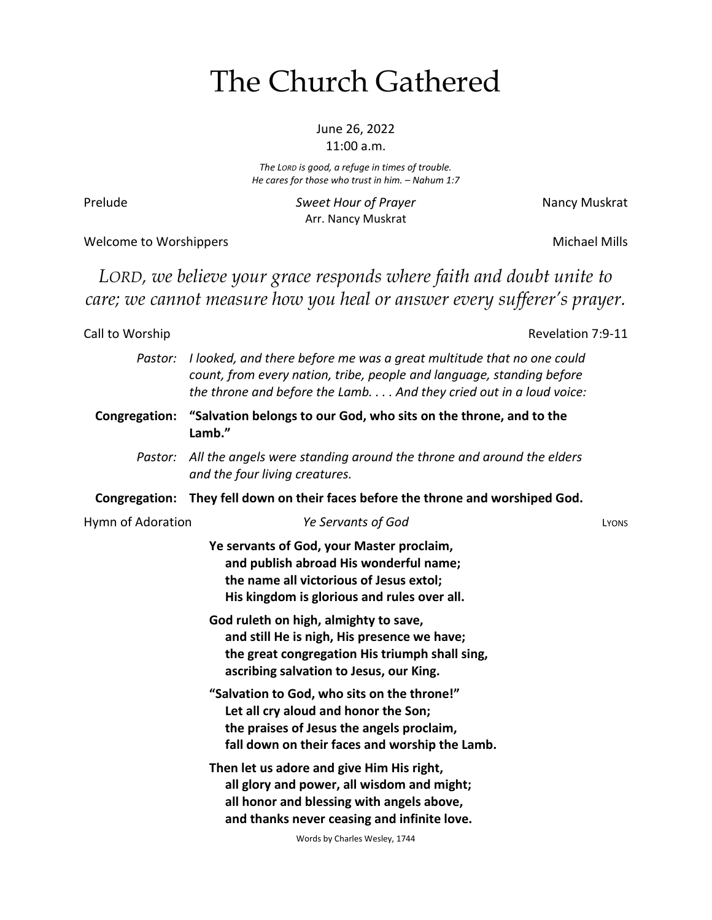# The Church Gathered

### June 26, 2022 11:00 a.m.

*The LORD is good, a refuge in times of trouble. He cares for those who trust in him. – Nahum 1:7*

Prelude *Sweet Hour of Prayer* Nancy Muskrat Arr. Nancy Muskrat

Welcome to Worshippers **Michael Mills** Welcome to Worshippers

*LORD, we believe your grace responds where faith and doubt unite to care; we cannot measure how you heal or answer every sufferer's prayer.*

Call to Worship **Call to Worship** Revelation 7:9-11

| Pastor: I looked, and there before me was a great multitude that no one could |
|-------------------------------------------------------------------------------|
| count, from every nation, tribe, people and language, standing before         |
| the throne and before the Lamb And they cried out in a loud voice:            |

**Congregation: "Salvation belongs to our God, who sits on the throne, and to the Lamb."**

*Pastor: All the angels were standing around the throne and around the elders and the four living creatures.*

**Congregation: They fell down on their faces before the throne and worshiped God.**

| Hymn of Adoration | Ye Servants of God                                                                                                                                                                  | LYONS |
|-------------------|-------------------------------------------------------------------------------------------------------------------------------------------------------------------------------------|-------|
|                   | Ye servants of God, your Master proclaim,<br>and publish abroad His wonderful name;<br>the name all victorious of Jesus extol;<br>His kingdom is glorious and rules over all.       |       |
|                   | God ruleth on high, almighty to save,<br>and still He is nigh, His presence we have;<br>the great congregation His triumph shall sing,<br>ascribing salvation to Jesus, our King.   |       |
|                   | "Salvation to God, who sits on the throne!"<br>Let all cry aloud and honor the Son;<br>the praises of Jesus the angels proclaim,<br>fall down on their faces and worship the Lamb.  |       |
|                   | Then let us adore and give Him His right,<br>all glory and power, all wisdom and might;<br>all honor and blessing with angels above,<br>and thanks never ceasing and infinite love. |       |
|                   | Words by Charles Wesley, 1744                                                                                                                                                       |       |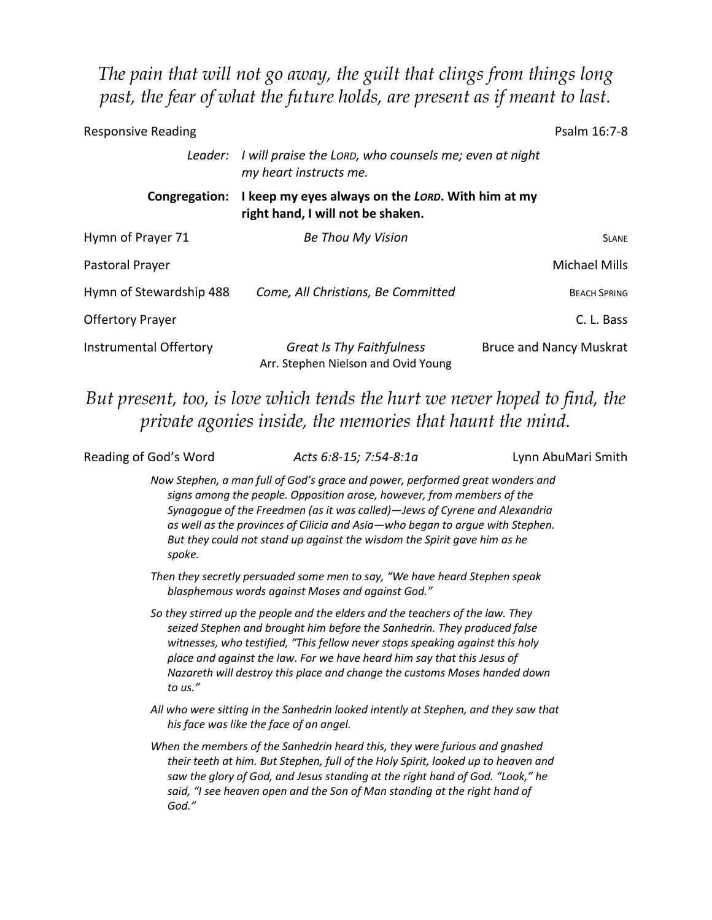*The pain that will not go away, the guilt that clings from things long past, the fear of what the future holds, are present as if meant to last.*

| <b>Responsive Reading</b> |                                                                                        | Psalm 16:7-8                   |
|---------------------------|----------------------------------------------------------------------------------------|--------------------------------|
| Leader:                   | I will praise the LORD, who counsels me; even at night<br>my heart instructs me.       |                                |
| Congregation:             | I keep my eyes always on the LORD. With him at my<br>right hand, I will not be shaken. |                                |
| Hymn of Prayer 71         | <b>Be Thou My Vision</b>                                                               | <b>SLANE</b>                   |
| Pastoral Prayer           |                                                                                        | <b>Michael Mills</b>           |
| Hymn of Stewardship 488   | Come, All Christians, Be Committed                                                     | <b>BEACH SPRING</b>            |
| <b>Offertory Prayer</b>   |                                                                                        | C. L. Bass                     |
| Instrumental Offertory    | <b>Great Is Thy Faithfulness</b><br>Arr. Stephen Nielson and Ovid Young                | <b>Bruce and Nancy Muskrat</b> |

## *But present, too, is love which tends the hurt we never hoped to find, the private agonies inside, the memories that haunt the mind.*

Reading of God's Word *Acts 6:8-15; 7:54-8:1a* Lynn AbuMari Smith *Now Stephen, a man full of God's grace and power, performed great wonders and signs among the people. Opposition arose, however, from members of the Synagogue of the Freedmen (as it was called)—Jews of Cyrene and Alexandria as well as the provinces of Cilicia and Asia—who began to argue with Stephen. But they could not stand up against the wisdom the Spirit gave him as he* 

> *Then they secretly persuaded some men to say, "We have heard Stephen speak blasphemous words against Moses and against God."*

*spoke.*

*So they stirred up the people and the elders and the teachers of the law. They seized Stephen and brought him before the Sanhedrin. They produced false witnesses, who testified, "This fellow never stops speaking against this holy place and against the law. For we have heard him say that this Jesus of Nazareth will destroy this place and change the customs Moses handed down to us."*

*All who were sitting in the Sanhedrin looked intently at Stephen, and they saw that his face was like the face of an angel.*

*When the members of the Sanhedrin heard this, they were furious and gnashed their teeth at him. But Stephen, full of the Holy Spirit, looked up to heaven and saw the glory of God, and Jesus standing at the right hand of God. "Look," he said, "I see heaven open and the Son of Man standing at the right hand of God."*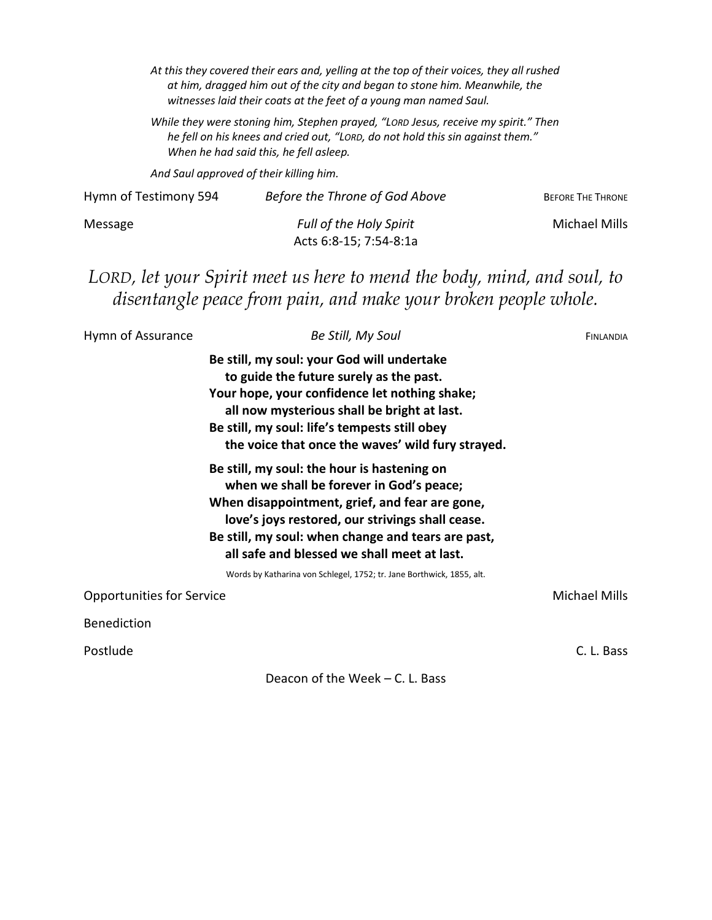*At this they covered their ears and, yelling at the top of their voices, they all rushed at him, dragged him out of the city and began to stone him. Meanwhile, the witnesses laid their coats at the feet of a young man named Saul.*

*While they were stoning him, Stephen prayed, "LORD Jesus, receive my spirit." Then he fell on his knees and cried out, "LORD, do not hold this sin against them." When he had said this, he fell asleep.*

*And Saul approved of their killing him.*

| Hymn of Testimony 594 | Before the Throne of God Above                           | <b>BEFORE THE THRONE</b> |
|-----------------------|----------------------------------------------------------|--------------------------|
| Message               | <b>Full of the Holy Spirit</b><br>Acts 6:8-15; 7:54-8:1a | <b>Michael Mills</b>     |
|                       |                                                          |                          |

## *LORD, let your Spirit meet us here to mend the body, mind, and soul, to disentangle peace from pain, and make your broken people whole.*

| Hymn of Assurance                | Be Still, My Soul                                                                                                                                                                                                                                                                                  | FINLANDIA     |
|----------------------------------|----------------------------------------------------------------------------------------------------------------------------------------------------------------------------------------------------------------------------------------------------------------------------------------------------|---------------|
|                                  | Be still, my soul: your God will undertake<br>to guide the future surely as the past.<br>Your hope, your confidence let nothing shake;<br>all now mysterious shall be bright at last.<br>Be still, my soul: life's tempests still obey<br>the voice that once the waves' wild fury strayed.        |               |
|                                  | Be still, my soul: the hour is hastening on<br>when we shall be forever in God's peace;<br>When disappointment, grief, and fear are gone,<br>love's joys restored, our strivings shall cease.<br>Be still, my soul: when change and tears are past,<br>all safe and blessed we shall meet at last. |               |
|                                  | Words by Katharina von Schlegel, 1752; tr. Jane Borthwick, 1855, alt.                                                                                                                                                                                                                              |               |
| <b>Opportunities for Service</b> |                                                                                                                                                                                                                                                                                                    | Michael Mills |
| <b>Benediction</b>               |                                                                                                                                                                                                                                                                                                    |               |
| Postlude                         |                                                                                                                                                                                                                                                                                                    | C. L. Bass    |

Deacon of the Week – C. L. Bass